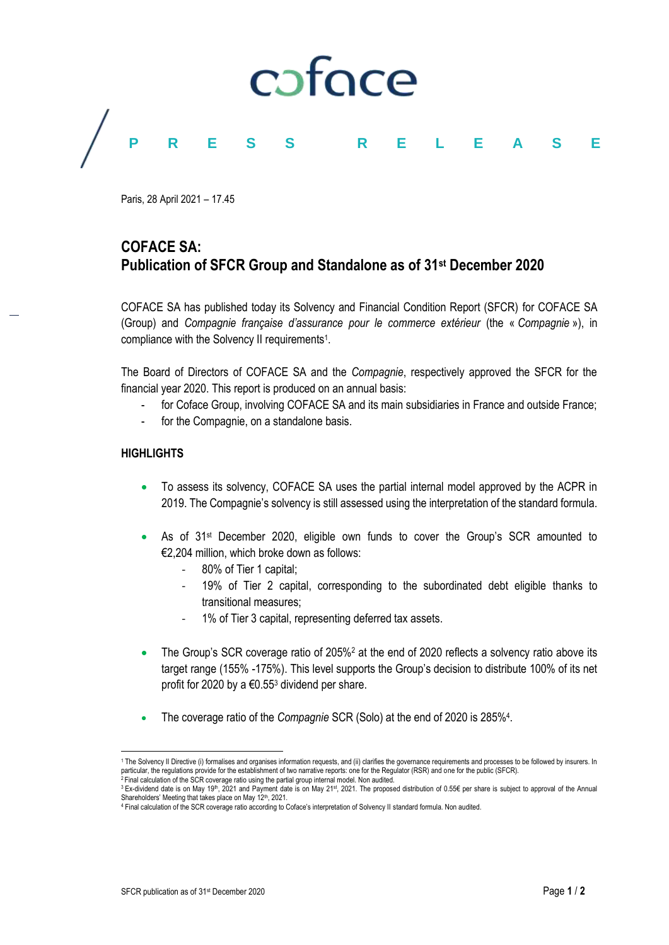

Paris, 28 April 2021 – 17.45

## **COFACE SA: Publication of SFCR Group and Standalone as of 31st December 2020**

COFACE SA has published today its Solvency and Financial Condition Report (SFCR) for COFACE SA (Group) and *Compagnie française d'assurance pour le commerce extérieur* (the « *Compagnie* »), in compliance with the Solvency II requirements<sup>1</sup>.

The Board of Directors of COFACE SA and the *Compagnie*, respectively approved the SFCR for the financial year 2020. This report is produced on an annual basis:

- for Coface Group, involving COFACE SA and its main subsidiaries in France and outside France;
- for the Compagnie, on a standalone basis.

### **HIGHLIGHTS**

l

- To assess its solvency, COFACE SA uses the partial internal model approved by the ACPR in 2019. The Compagnie's solvency is still assessed using the interpretation of the standard formula.
- As of 31st December 2020, eligible own funds to cover the Group's SCR amounted to €2,204 million, which broke down as follows:
	- 80% of Tier 1 capital;
	- 19% of Tier 2 capital, corresponding to the subordinated debt eligible thanks to transitional measures;
	- 1% of Tier 3 capital, representing deferred tax assets.
- The Group's SCR coverage ratio of 205%<sup>2</sup> at the end of 2020 reflects a solvency ratio above its target range (155% -175%). This level supports the Group's decision to distribute 100% of its net profit for 2020 by a  $\epsilon$ 0.55<sup>3</sup> dividend per share.
- The coverage ratio of the *Compagnie* SCR (Solo) at the end of 2020 is 285%<sup>4</sup>.

<sup>1</sup> The Solvency II Directive (i) formalises and organises information requests, and (ii) clarifies the governance requirements and processes to be followed by insurers. In particular, the regulations provide for the establishment of two narrative reports: one for the Regulator (RSR) and one for the public (SFCR).<br><sup>2</sup> Final calculation of the SCR coverage ratio using the partial group interna

<sup>&</sup>lt;sup>3</sup> Ex-dividend date is on May 19<sup>th</sup>, 2021 and Payment date is on May 21<sup>st</sup>, 2021. The proposed distribution of 0.55€ per share is subject to approval of the Annual Shareholders' Meeting that takes place on May 12th, 2021.

<sup>4</sup> Final calculation of the SCR coverage ratio according to Coface's interpretation of Solvency II standard formula. Non audited.